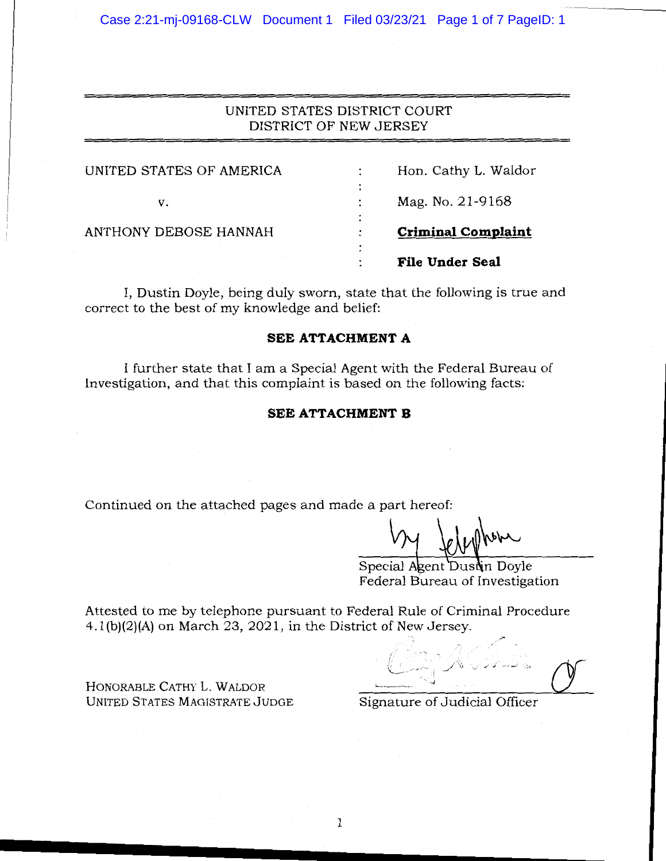Case 2:21-mj-09168-CLW Document 1 Filed 03/23/21 Page 1 of 7 PageID: 1

# UNITED STATES DISTRICT COURT DISTRICT OF NEW JERSEY

| UNITED STATES OF AMERICA | ٠              | Hon. Cathy L. Waldor      |
|--------------------------|----------------|---------------------------|
| v.                       |                | Mag. No. 21-9168          |
| ANTHONY DEBOSE HANNAH    | ٠<br>۰         | <b>Criminal Complaint</b> |
|                          | $\bullet$<br>٠ | File Under Seal           |
|                          |                |                           |

I, Dustin Doyle, being duly sworn, state that the following is true and correct to the best of my knowledge and belief:

# **SEE ATTACHMENT A**

I further state that I am a Special Agent with the Federal Bureau of Investigation, and that this complaint is based on the following facts:

# **SEE ATTACHMENT B**

Continued on the attached pages and made a part hereof:

Special Agent Dustin Doyle Federal Bureau of Investigation

Attested to me by telephone pursuant to Federal Rule of Criminal Procedure 4.l(b)(2)(A) on March 23, 2021, in the District of New Jersey.

 $\sim$ {\_,/'''1 *jVJ,* .,, ✓,,~·.:, Signature of Judicial Officer

HONORABLE CATHY L. WALDOR UNITED STATES MAGISTRATE JUDGE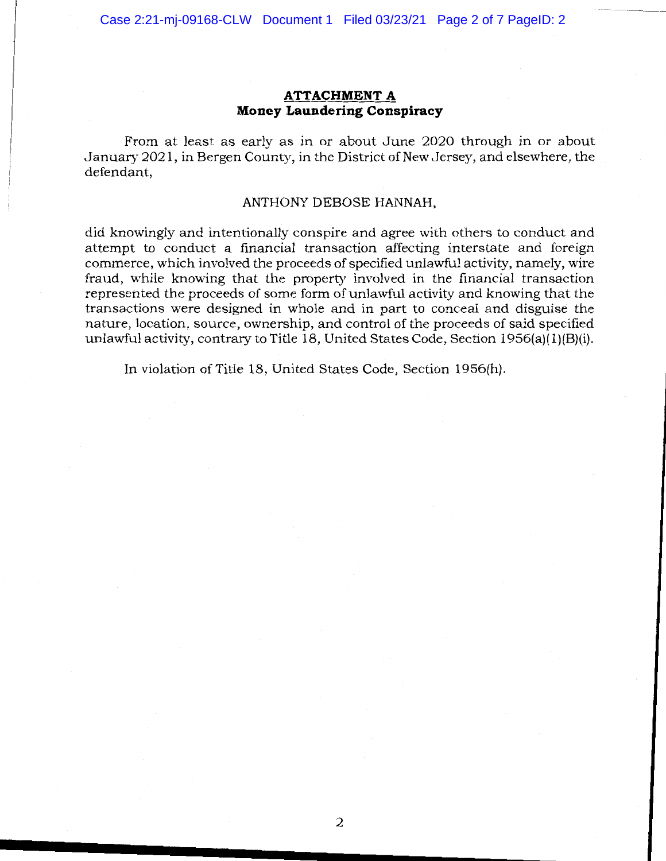## **ATTACHMENT A Money Laundering Conspiracy**

From at least as early as in or about June 2020 through in or about January 2021, in Bergen County, in the District of New Jersey, and elsewhere, the defendant,

#### ANTHONY DEBOSE HANNAH,

did knowingly and intentionally conspire and agree with others to conduct and attempt to conduct a financial transaction affecting interstate and foreign commerce, which involved the proceeds of specified unlawful activity, namely, wire fraud, while knowing that the property involved in the financial transaction represented the proceeds of some form of unlawful activity and knowing that the transactions were designed in whole and in part to conceal and disguise the nature, location, source, ownership, and control of the proceeds of said specified unlawful activity, contrary to Title 18, United States Code, Section  $1956(a)(1)(B)(i)$ .

In violation of Title 18, United States Code, Section 1956(h).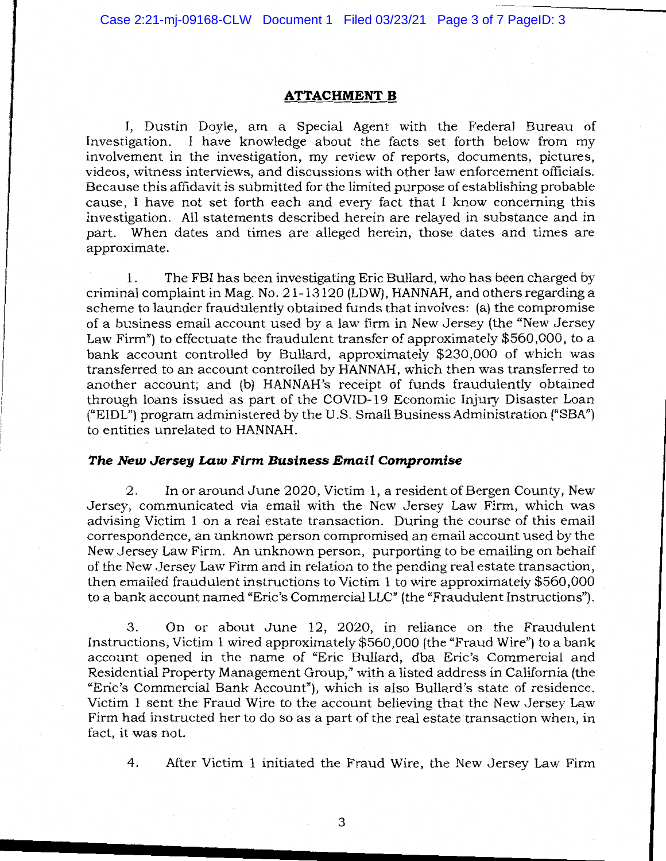Case 2:21-mj-09168-CLW Document 1 Filed 03/23/21 Page 3 of 7 PageID: 3

### **ATTACHMENT B**

I, Dustin Doyle, am a Special Agent with the Federal Bureau of Investigation. I have knowledge about the facts set forth below from my involvement in the investigation, my review of reports, documents, pictures, videos, witness interviews, and discussions with other law enforcement officials. Because this affidavit is submitted for the limited purpose of establishing probable cause, I have not set forth each and every fact that I know concerning this investigation. All statements described herein are relayed in substance and in part. When dates and times are alleged herein, those dates and times are approximate.

1. The FBI has been investigating Eric Bullard, who has been charged by criminal complaint in Mag. No. 21-13120 (LDW), HANNAH, and others regarding a scheme to launder fraudulently obtained funds that involves: (a) the compromise of a business email account used by a law firm in New Jersey (the "New Jersey Law Firm") to effectuate the fraudulent transfer of approximately \$560,000, to a bank account controlled by Bullard, approximately \$230,000 of which was transferred to an account controlled by HANNAH, which then was transferred to another account; and (b) HANNAH's receipt of funds fraudulently obtained through loans issued as part of the COVID-19 Economic Injury Disaster Loan ("EIDL") program administered by the U.S. Small Business Administration ("SBA") to entities unrelated to HANNAH.

#### *The New Jersey Law Firm Business Email Compromise*

2. In or around June 2020, Victim 1, a resident of Bergen County, New Jersey, communicated via email with the New Jersey Law Firm, which was advising Victim 1 on a real estate transaction. During the course of this email correspondence, an unknown person compromised an email account used by the New Jersey Law Firm. An unknown person, purporting to be emailing on behalf of the New Jersey Law Firm and in relation to the pending real estate transaction, then emailed fraudulent instructions to Victim 1 to wire approximately \$560,000 to a bank account named "Eric's Commercial LLC" (the "Fraudulent Instructions").

3. On or about June 12, 2020, in reliance on the Fraudulent Instructions, Victim 1 wired approximately \$560,000 (the "Fraud Wire") to a bank account opened in the name of "Eric Bullard, dba Eric's Commercial and Residential Property Management Group," with a listed address in California (the "Eric's Commercial Bank Account"), which is also Bullard's state of residence. Victim 1 sent the Fraud Wire to the account believing that the New Jersey Law Firm had instructed her to do so as a part of the real estate transaction when, in fact, it was not.

4. After Victim 1 initiated the Fraud Wire, the New Jersey Law Firm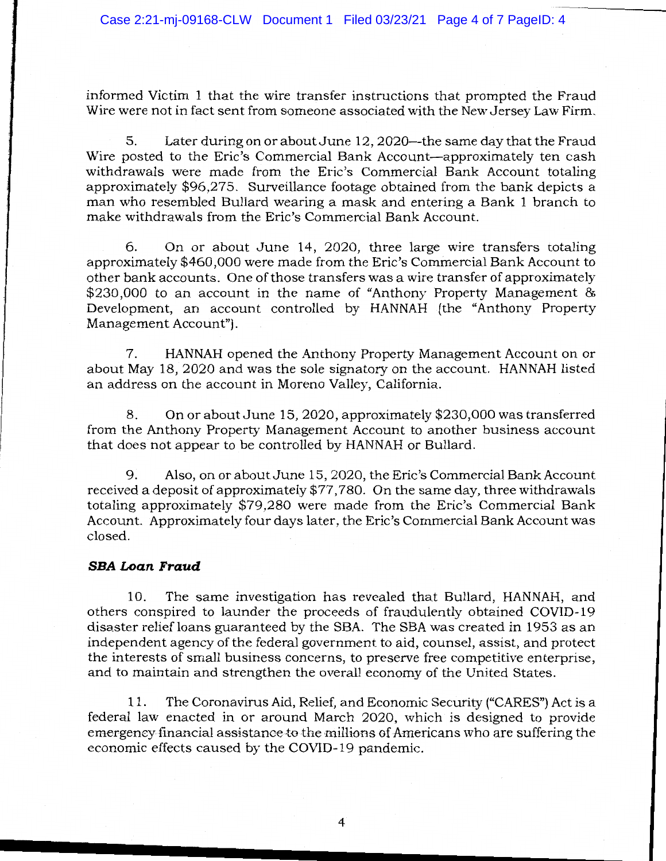informed Victim 1 that the wire transfer instructions that prompted the Fraud Wire were not in fact sent from someone associated with the New Jersey Law Firm.

5. Later during on or about June 12, 2020—the same day that the Fraud Wire posted to the Eric's Commercial Bank Account-approximately ten cash withdrawals were made from the Eric's Commercial Bank Account totaling approximately \$96,275. Surveillance footage obtained from the bank depicts a man who resembled Bullard wearing a mask and entering a Bank 1 branch to make withdrawals from the Eric's Commercial Bank Account.

6. On or about June 14, 2020, three large wire transfers totaling approximately \$460,000 were made from the Eric's Commercial Bank Account to other bank accounts. One of those transfers was a wire transfer of approximately \$230,000 to an account in the name of "Anthony Property Management & Development, an account controlled by HANNAH (the "Anthony Property Management Account").

7. HANNAH opened the Anthony Property Management Account on or about May 18, 2020 and was the sole signatory on the account. HANNAH listed an address on the account in Moreno Valley, California.

8. On or about June 15, 2020, approximately \$230,000 was transferred from the Anthony Property Management Account to another business account that does not appear to be controlled by HANNAH or Bullard.

9. Also, on or about June 15, 2020, the Eric's Commercial Bank Account received a deposit of approximately \$77,780. On the same day, three withdrawals totaling approximately \$79,280 were made from the Eric's Commercial Bank Account. Approximately four days later, the Eric's Commercial Bank Account was closed.

## **SBA Loan Fraud**

10. The same investigation has revealed that Bullard, HANNAH, and others conspired to launder the proceeds of fraudulently obtained COVID-19 disaster relief loans guaranteed by the SBA. The SBA was created in 1953 as an independent agency of the federal government to aid, counsel, assist, and protect the interests of small business concerns, to preserve free competitive enterprise, and to maintain and strengthen the overall economy of the United States.

11. The Coronavirus Aid, Relief, and Economic Security ("CARES") Act is a federal law enacted in or around March 2020, which is designed to provide emergency financial assistance to the millions of Americans who are suffering the economic effects caused by the COVID-19 pandemic.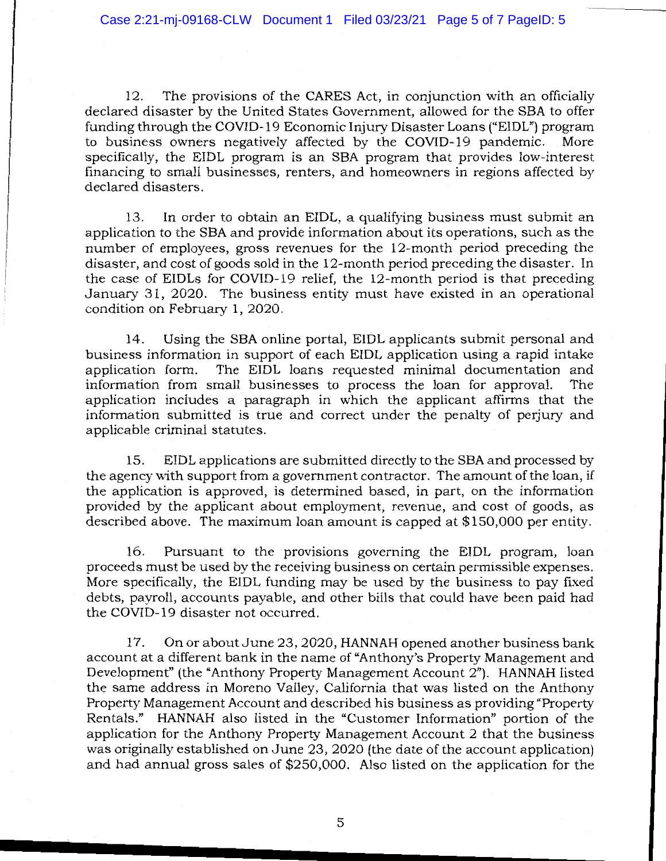12. The provisions of the CARES Act, in conjunction with an officially declared disaster by the United States Government, allowed for the SBA to offer funding through the COVID-19 Economic Injury Disaster Loans ("EIDL") program to business owners negatively affected by the COVID-19 pandemic. More specifically, the EIDL program is an SBA program that provides low-interest financing to small businesses, renters, and homeowners in regions affected by declared disasters.

13. In order to obtain an EIDL, a qualifying business must submit an application to the SBA and provide information about its operations, such as the number of employees, gross revenues for the 12-month period preceding the disaster, and cost of goods sold in the 12-month period preceding the disaster. In the case of EIDLs for COVID-19 relief, the 12-month period is that preceding January 31, 2020. The business entity must have existed in an operational condition on February 1, 2020.

14. Using the SBA online portal, EIDL applicants submit personal and business information in support of each EIDL application using a rapid intake application form. The EIDL loans requested minimal documentation and information from small businesses to process the loan for approval. The application includes a paragraph in which the applicant affirms that the information submitted is true and correct under the penalty of perjury and applicable criminal statutes.

15. EIDL applications are submitted directly to the SBA and processed by the agency with support from a government contractor. The amount of the loan, if the application is approved, is determined based, in part, on the information provided by the applicant about employment, revenue, and cost of goods, as described above. The maximum loan amount is capped at \$150,000 per entity.

16. Pursuant to the provisions governing the EIDL program, loan proceeds must be used by the receiving business on certain permissible expenses. More specifically, the EIDL funding may be used by the business to pay fixed debts, payroll, accounts payable, and other bills that could have been paid had the COVID-19 disaster not occurred.

17. On or about June 23, 2020, HANNAH opened another business bank account at a different bank in the name of "Anthony's Property Management and Development" (the "Anthony Property Management Account 2"). HANNAH listed the same address in Moreno Valley, California that was listed on the Anthony Property Management Account and described his business as providing "Property Rentals." **HANNAH** also listed in the "Customer Information" portion of the application for the Anthony Property Management Account 2 that the business was originally established on June 23, 2020 (the date of the account application) and had annual gross sales of \$250,000. Also listed on the application for the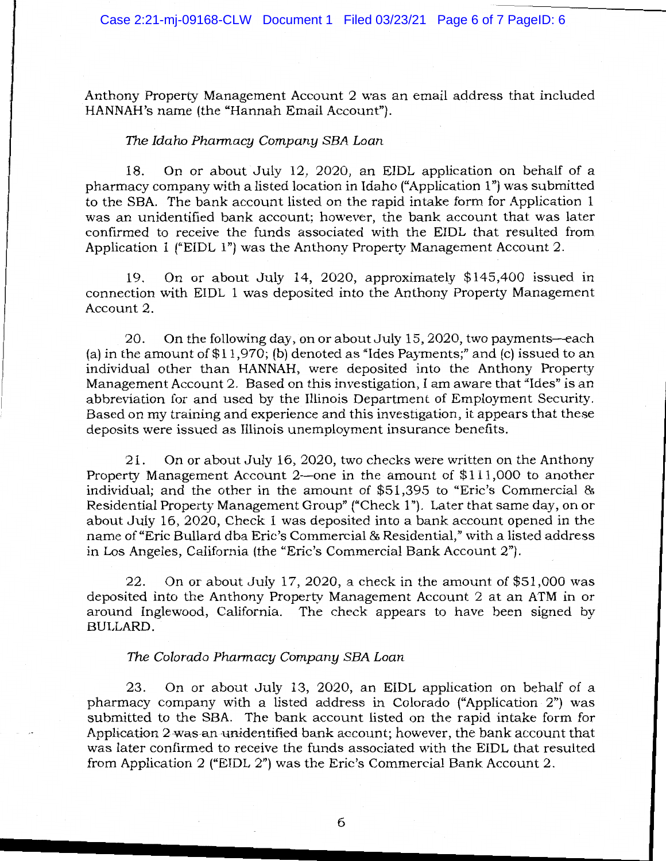Anthony Property Management Account 2 was an email address that included HANNAH's name (the "Hannah Email Account").

#### The *Idaho Pharmacy Company SBA Loan*

18. On or about July 12, 2020, an EIDL application on behalf of a pharmacy company with a listed location in Idaho ("Application 1") was submitted to the SBA. The bank account listed on the rapid intake form for Application 1 was an unidentified bank account; however, the bank account that was later confirmed to receive the funds associated with the EIDL that resulted from Application 1 ("EIDL l") was the Anthony Property Management Account 2.

19. On or about July 14, 2020, approximately \$145,400 issued in connection with EIDL 1 was deposited into the Anthony Property Management Account 2.

20. On the following day, on or about July 15, 2020, two payments—each (a) in the amount of  $$11,970$ ; (b) denoted as "Ides Payments;" and (c) issued to an individual other than HANNAH, were deposited into the Anthony Property Management Account 2. Based on this investigation, I am aware that "Ides" is an abbreviation for and used by the Illinois Department of Employment Security. Based on my training and experience and this investigation, it appears that these deposits were issued as Illinois unemployment insurance benefits.

21. On or about July 16, 2020, two checks were written on the Anthony Property Management Account 2-one in the amount of \$111,000 to another individual; and the other in the amount of \$51,395 to "Eric's Commercial & Residential Property Management Group" ("Check 1"). Later that same day, on or about July 16, 2020, Check 1 was deposited into a bank account opened in the name of"Eric Bullard dba Eric's Commercial & Residential," with a listed address in Los Angeles, California (the "Eric's Commercial Bank Account 2").

22. On or about July 17, 2020, a check in the amount of \$51,000 was deposited into the Anthony Property Management Account 2 at an ATM in or around Inglewood, California. The check appears to have been signed by BULLARD.

#### *The Colorado Pharmacy Company SBA Loan*

23. On or about July 13, 2020, an EIDL application on behalf of a pharmacy company with a listed address in Colorado ("Application 2") was submitted to the SBA. The bank account listed on the rapid intake form for Application 2 was an unidentified bank account; however, the bank account that was later confirmed to receive the funds associated with the EIDL that resulted from Application 2 ("EIDL 2") was the Eric's Commercial Bank Account 2.